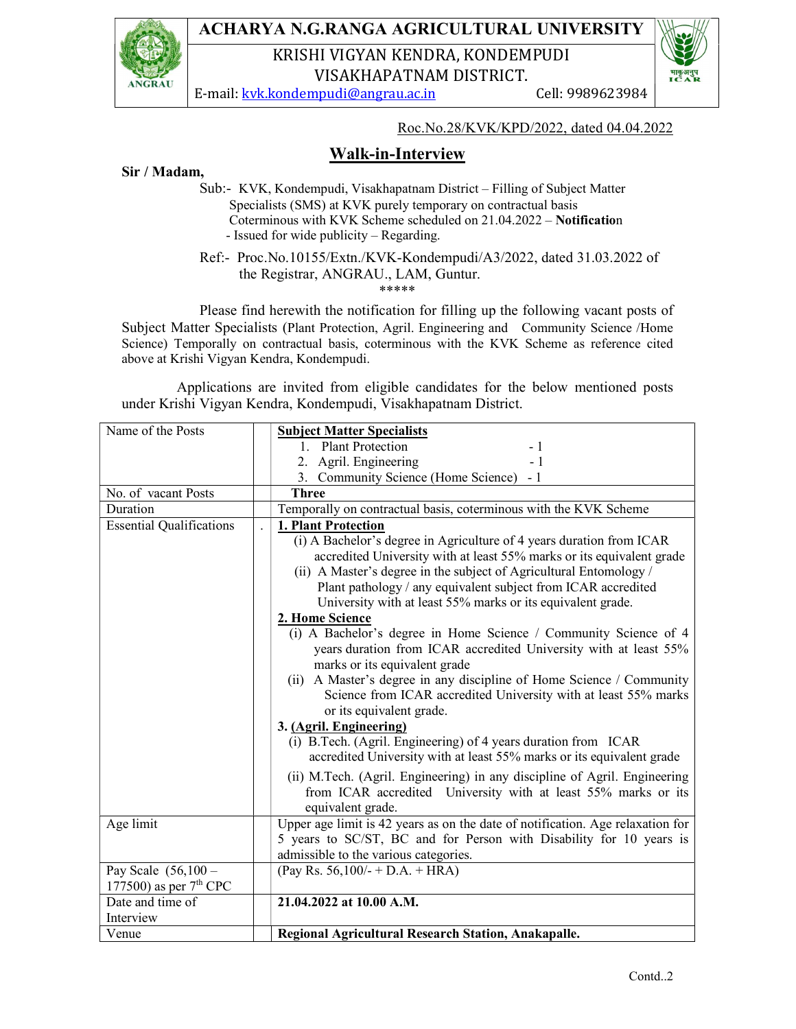

## ACHARYA N.G.RANGA AGRICULTURAL UNIVERSITY

KRISHI VIGYAN KENDRA, KONDEMPUDI VISAKHAPATNAM DISTRICT.

E-mail: kvk.kondempudi@angrau.ac.in Cell: 9989623984



## Sir / Madam,

 Sub:- KVK, Kondempudi, Visakhapatnam District – Filling of Subject Matter Specialists (SMS) at KVK purely temporary on contractual basis Coterminous with KVK Scheme scheduled on 21.04.2022 – Notification - Issued for wide publicity – Regarding.

 Ref:- Proc.No.10155/Extn./KVK-Kondempudi/A3/2022, dated 31.03.2022 of the Registrar, ANGRAU., LAM, Guntur. \*\*\*\*\*

 Please find herewith the notification for filling up the following vacant posts of Subject Matter Specialists (Plant Protection, Agril. Engineering and Community Science /Home Science) Temporally on contractual basis, coterminous with the KVK Scheme as reference cited above at Krishi Vigyan Kendra, Kondempudi.

 Applications are invited from eligible candidates for the below mentioned posts under Krishi Vigyan Kendra, Kondempudi, Visakhapatnam District.

| Name of the Posts                                  | <b>Subject Matter Specialists</b>                                                                                                                                                                                                                                                                                                                                                                                                                                                                                                                                      |
|----------------------------------------------------|------------------------------------------------------------------------------------------------------------------------------------------------------------------------------------------------------------------------------------------------------------------------------------------------------------------------------------------------------------------------------------------------------------------------------------------------------------------------------------------------------------------------------------------------------------------------|
|                                                    | 1. Plant Protection<br>- 1                                                                                                                                                                                                                                                                                                                                                                                                                                                                                                                                             |
|                                                    | 2. Agril. Engineering<br>$-1$                                                                                                                                                                                                                                                                                                                                                                                                                                                                                                                                          |
|                                                    | 3. Community Science (Home Science) - 1                                                                                                                                                                                                                                                                                                                                                                                                                                                                                                                                |
| No. of vacant Posts                                | <b>Three</b>                                                                                                                                                                                                                                                                                                                                                                                                                                                                                                                                                           |
| Duration                                           | Temporally on contractual basis, coterminous with the KVK Scheme                                                                                                                                                                                                                                                                                                                                                                                                                                                                                                       |
| <b>Essential Qualifications</b>                    | 1. Plant Protection<br>(i) A Bachelor's degree in Agriculture of 4 years duration from ICAR<br>accredited University with at least 55% marks or its equivalent grade<br>(ii) A Master's degree in the subject of Agricultural Entomology /<br>Plant pathology / any equivalent subject from ICAR accredited<br>University with at least 55% marks or its equivalent grade.<br>2. Home Science<br>(i) A Bachelor's degree in Home Science / Community Science of 4<br>years duration from ICAR accredited University with at least 55%<br>marks or its equivalent grade |
|                                                    | A Master's degree in any discipline of Home Science / Community<br>(ii)<br>Science from ICAR accredited University with at least 55% marks<br>or its equivalent grade.<br>3. (Agril. Engineering)<br>(i) B.Tech. (Agril. Engineering) of 4 years duration from ICAR<br>accredited University with at least 55% marks or its equivalent grade<br>(ii) M.Tech. (Agril. Engineering) in any discipline of Agril. Engineering<br>from ICAR accredited University with at least 55% marks or its<br>equivalent grade.                                                       |
| Age limit                                          | Upper age limit is 42 years as on the date of notification. Age relaxation for<br>5 years to SC/ST, BC and for Person with Disability for 10 years is<br>admissible to the various categories.                                                                                                                                                                                                                                                                                                                                                                         |
| Pay Scale $(56, 100 -$<br>177500) as per $7th$ CPC | (Pay Rs. 56,100/- + D.A. + HRA)                                                                                                                                                                                                                                                                                                                                                                                                                                                                                                                                        |
| Date and time of                                   | 21.04.2022 at 10.00 A.M.                                                                                                                                                                                                                                                                                                                                                                                                                                                                                                                                               |
| Interview                                          |                                                                                                                                                                                                                                                                                                                                                                                                                                                                                                                                                                        |
| Venue                                              | Regional Agricultural Research Station, Anakapalle.                                                                                                                                                                                                                                                                                                                                                                                                                                                                                                                    |